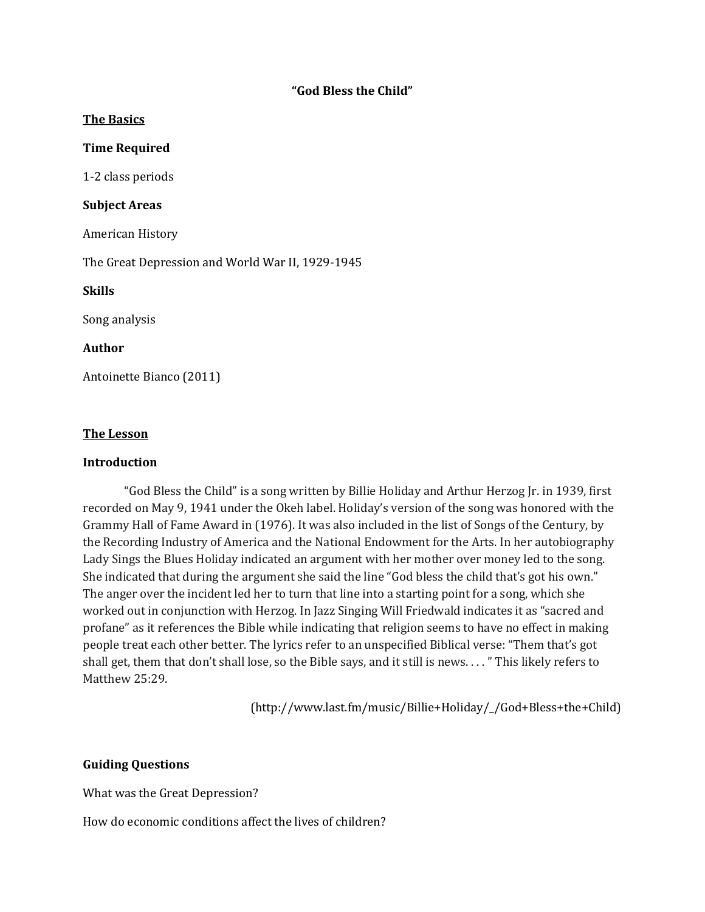### **"God Bless the Child"**

#### **The Basics**

### **Time Required**

1-2 class periods

#### **Subject Areas**

American History

The Great Depression and World War II, 1929-1945

**Skills**

Song analysis

### **Author**

Antoinette Bianco (2011)

#### **The Lesson**

#### **Introduction**

"God Bless the Child" is a song written by Billie Holiday and Arthur Herzog Jr. in 1939, first recorded on May 9, 1941 under the Okeh label. Holiday's version of the song was honored with the Grammy Hall of Fame Award in (1976). It was also included in the list of Songs of the Century, by the Recording Industry of America and the National Endowment for the Arts. In her autobiography Lady Sings the Blues Holiday indicated an argument with her mother over money led to the song. She indicated that during the argument she said the line "God bless the child that's got his own." The anger over the incident led her to turn that line into a starting point for a song, which she worked out in conjunction with Herzog. In Jazz Singing Will Friedwald indicates it as "sacred and profane" as it references the Bible while indicating that religion seems to have no effect in making people treat each other better. The lyrics refer to an unspecified Biblical verse: "Them that's got shall get, them that don't shall lose, so the Bible says, and it still is news. . . . " This likely refers to Matthew 25:29.

(http://www.last.fm/music/Billie+Holiday/\_/God+Bless+the+Child)

#### **Guiding Questions**

What was the Great Depression?

How do economic conditions affect the lives of children?